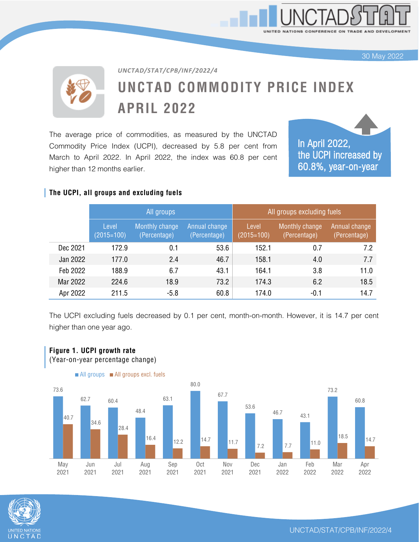UNITED NATIONS CONFERENCE ON TRADE AND DEV

30 May 2022

# **UNCTAD COMMODITY PRICE INDEX APRIL 2022**

The average price of commodities, as measured by the UNCTAD Commodity Price Index (UCPI), decreased by 5.8 per cent from March to April 2022. In April 2022, the index was 60.8 per cent higher than 12 months earlier.

*UNCTAD/STAT/CPB/INF/2022/4*



#### **The UCPI, all groups and excluding fuels**

**Figure 1. UCPI growth rate**

|          | All groups            |                                |                               | All groups excluding fuels |                                |                               |
|----------|-----------------------|--------------------------------|-------------------------------|----------------------------|--------------------------------|-------------------------------|
|          | Level<br>$(2015=100)$ | Monthly change<br>(Percentage) | Annual change<br>(Percentage) | Level<br>$(2015=100)$      | Monthly change<br>(Percentage) | Annual change<br>(Percentage) |
| Dec 2021 | 172.9                 | 0.1                            | 53.6                          | 152.1                      | 0.7                            | 7.2                           |
| Jan 2022 | 177.0                 | 2.4                            | 46.7                          | 158.1                      | 4.0                            | 7.7                           |
| Feb 2022 | 188.9                 | 6.7                            | 43.1                          | 164.1                      | 3.8                            | 11.0                          |
| Mar 2022 | 224.6                 | 18.9                           | 73.2                          | 174.3                      | 6.2                            | 18.5                          |
| Apr 2022 | 211.5                 | $-5.8$                         | 60.8                          | 174.0                      | $-0.1$                         | 14.7                          |

The UCPI excluding fuels decreased by 0.1 per cent, month-on-month. However, it is 14.7 per cent higher than one year ago.